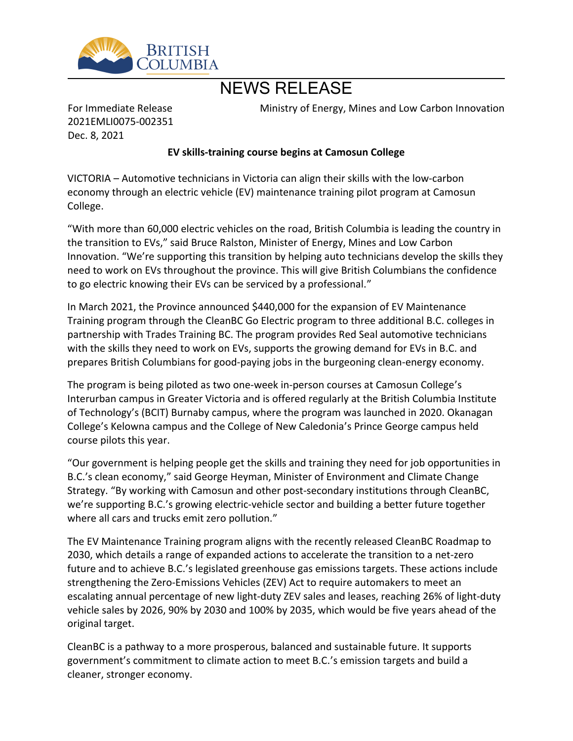

# NEWS RELEASE

For Immediate Release 2021EMLI0075-002351 Dec. 8, 2021

Ministry of Energy, Mines and Low Carbon Innovation

# **EV skills-training course begins at Camosun College**

VICTORIA – Automotive technicians in Victoria can align their skills with the low-carbon economy through an electric vehicle (EV) maintenance training pilot program at Camosun College.

͞With more than 60,000 electric vehicles on the road, British Columbia is leading the country in the transition to EVs," said Bruce Ralston, Minister of Energy, Mines and Low Carbon Innovation. "We're supporting this transition by helping auto technicians develop the skills they need to work on EVs throughout the province. This will give British Columbians the confidence to go electric knowing their EVs can be serviced by a professional."

In March 2021, the Province announced \$440,000 for the expansion of EV Maintenance Training program through the CleanBC Go Electric program to three additional B.C. colleges in partnership with Trades Training BC. The program provides Red Seal automotive technicians with the skills they need to work on EVs, supports the growing demand for EVs in B.C. and prepares British Columbians for good-paying jobs in the burgeoning clean-energy economy.

The program is being piloted as two one-week in-person courses at Camosun College's Interurban campus in Greater Victoria and is offered regularly at the British Columbia Institute of Technology͛s (BCIT) Burnaby campus, where the program was launched in 2020. Okanagan College's Kelowna campus and the College of New Caledonia's Prince George campus held course pilots this year.

͞Our government is helping people get the skills and training they need for job opportunities in B.C.'s clean economy," said George Heyman, Minister of Environment and Climate Change Strategy. "By working with Camosun and other post-secondary institutions through CleanBC, we're supporting B.C.'s growing electric-vehicle sector and building a better future together where all cars and trucks emit zero pollution."

The EV Maintenance Training program aligns with the recently released CleanBC Roadmap to 2030, which details a range of expanded actions to accelerate the transition to a net-zero future and to achieve B.C.'s legislated greenhouse gas emissions targets. These actions include strengthening the Zero-Emissions Vehicles (ZEV) Act to require automakers to meet an escalating annual percentage of new light-duty ZEV sales and leases, reaching 26% of light-duty vehicle sales by 2026, 90% by 2030 and 100% by 2035, which would be five years ahead of the original target.

CleanBC is a pathway to a more prosperous, balanced and sustainable future. It supports government's commitment to climate action to meet B.C.'s emission targets and build a cleaner, stronger economy.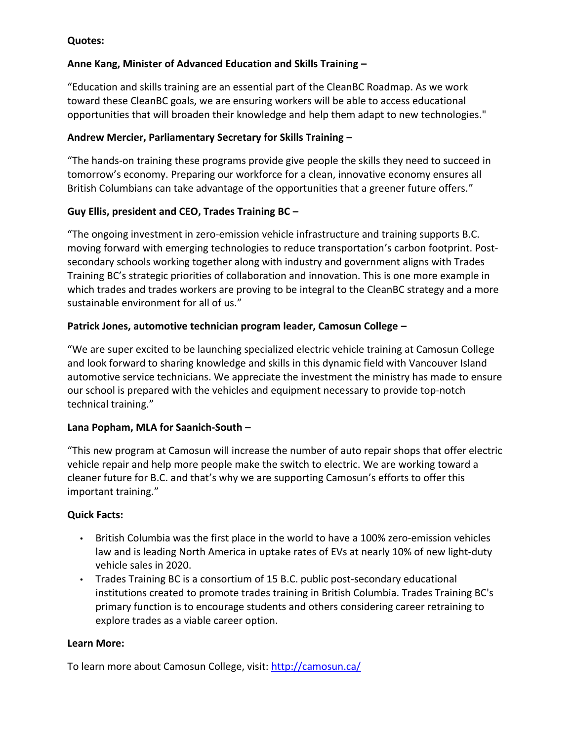### **Quotes:**

# **Anne Kang, Minister of Advanced Education and Skills Training ʹ**

͞Education and skills training are an essential part of the CleanBC Roadmap. As we work toward these CleanBC goals, we are ensuring workers will be able to access educational opportunities that will broaden their knowledge and help them adapt to new technologies."

## Andrew Mercier, Parliamentary Secretary for Skills Training -

͞The hands-on training these programs provide give people the skills they need to succeed in tomorrow's economy. Preparing our workforce for a clean, innovative economy ensures all British Columbians can take advantage of the opportunities that a greener future offers.<sup>"</sup>

# Guy Ellis, president and CEO, Trades Training BC -

͞The ongoing investment in zero-emission vehicle infrastructure and training supports B.C. moving forward with emerging technologies to reduce transportation's carbon footprint. Postsecondary schools working together along with industry and government aligns with Trades Training BC͛s strategic priorities of collaboration and innovation. This is one more example in which trades and trades workers are proving to be integral to the CleanBC strategy and a more sustainable environment for all of us."

#### **Patrick Jones, automotive technician program leader, Camosun College -**

͞We are super excited to be launching specialized electric vehicle training at Camosun College and look forward to sharing knowledge and skills in this dynamic field with Vancouver Island automotive service technicians. We appreciate the investment the ministry has made to ensure our school is prepared with the vehicles and equipment necessary to provide top-notch technical training."

# Lana Popham, MLA for Saanich-South -

͞This new program at Camosun will increase the number of auto repair shops that offer electric vehicle repair and help more people make the switch to electric. We are working toward a cleaner future for B.C. and that's why we are supporting Camosun's efforts to offer this important training."

# **Quick Facts:**

- British Columbia was the first place in the world to have a 100% zero-emission vehicles law and is leading North America in uptake rates of EVs at nearly 10% of new light-duty vehicle sales in 2020.
- Trades Training BC is a consortium of 15 B.C. public post-secondary educational institutions created to promote trades training in British Columbia. Trades Training BC's primary function is to encourage students and others considering career retraining to explore trades as a viable career option.

#### **Learn More:**

To learn more about Camosun College, visit: <http://camosun.ca/>